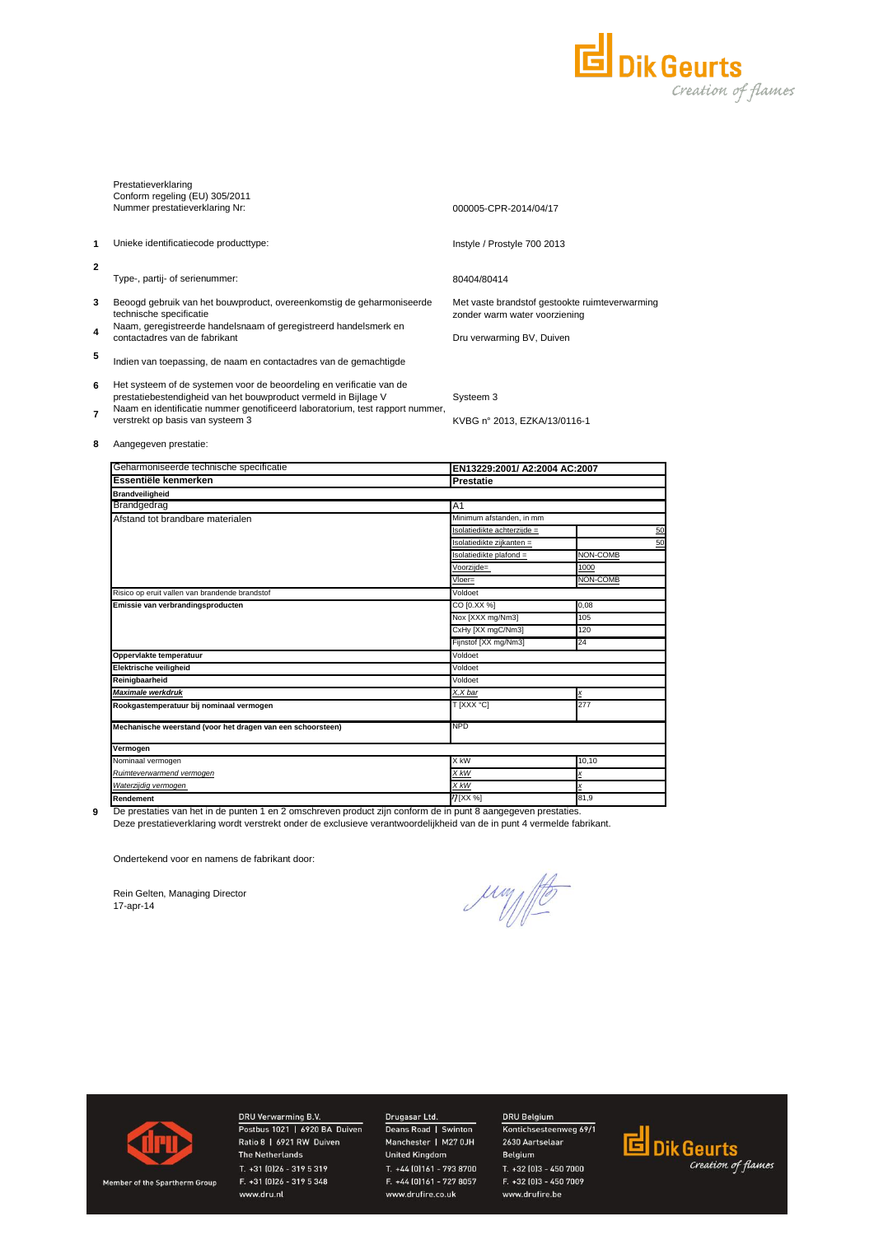

|                | Prestatieverklaring<br>Conform regeling (EU) 305/2011<br>Nummer prestatieverklaring Nr:                                                 | 000005-CPR-2014/04/17                                                        |
|----------------|-----------------------------------------------------------------------------------------------------------------------------------------|------------------------------------------------------------------------------|
|                |                                                                                                                                         |                                                                              |
| 1              | Unieke identificatiecode producttype:                                                                                                   | Instyle / Prostyle 700 2013                                                  |
| $\overline{2}$ |                                                                                                                                         |                                                                              |
|                | Type-, partij- of serienummer:                                                                                                          | 80404/80414                                                                  |
| 3              | Beoogd gebruik van het bouwproduct, overeenkomstig de geharmoniseerde<br>technische specificatie                                        | Met vaste brandstof gestookte ruimteverwarm<br>zonder warm water voorziening |
| 4              | Naam, geregistreerde handelsnaam of geregistreerd handelsmerk en<br>contactadres van de fabrikant                                       | Dru verwarming BV, Duiven                                                    |
| 5              | Indien van toepassing, de naam en contactadres van de gemachtigde                                                                       |                                                                              |
| 6              | Het systeem of de systemen voor de beoordeling en verificatie van de<br>prestatiebestendigheid van het bouwproduct vermeld in Bijlage V | Systeem 3                                                                    |
| 7              | Naam en identificatie nummer genotificeerd laboratorium, test rapport nummer,                                                           |                                                                              |

Naam en identificatie nummer genotificeerd laboratorium, test rapport nummer, verstrekt op basis van systeem 3

Met vaste brandstof gestookte ruimteverwarming

KVBG n° 2013, EZKA/13/0116-1

### **8** Aangegeven prestatie:

| Geharmoniseerde technische specificatie                     |                             | EN13229:2001/ A2:2004 AC:2007 |  |  |
|-------------------------------------------------------------|-----------------------------|-------------------------------|--|--|
| Essentiële kenmerken                                        | <b>Prestatie</b>            |                               |  |  |
| <b>Brandveiligheid</b>                                      |                             |                               |  |  |
| Brandgedrag                                                 | A <sub>1</sub>              |                               |  |  |
| Afstand tot brandbare materialen                            | Minimum afstanden, in mm    |                               |  |  |
|                                                             | Isolatiedikte achterziide = | 50                            |  |  |
|                                                             | Isolatiedikte zijkanten =   | 50                            |  |  |
|                                                             | Isolatiedikte plafond =     | NON-COMB                      |  |  |
|                                                             | Voorzijde=                  | 1000                          |  |  |
|                                                             | Vloer=                      | NON-COMB                      |  |  |
| Risico op eruit vallen van brandende brandstof              | Voldoet                     |                               |  |  |
| Emissie van verbrandingsproducten                           | CO [0.XX %]                 | 0,08                          |  |  |
|                                                             | Nox [XXX mg/Nm3]            | 105                           |  |  |
|                                                             | CxHy [XX mgC/Nm3]           | 120                           |  |  |
|                                                             | Fijnstof [XX mg/Nm3]        | 24                            |  |  |
| Oppervlakte temperatuur                                     | Voldoet                     |                               |  |  |
| Elektrische veiligheid                                      | Voldoet                     |                               |  |  |
| Reinigbaarheid                                              | Voldoet                     |                               |  |  |
| <b>Maximale werkdruk</b>                                    | X,X bar                     | X                             |  |  |
| Rookgastemperatuur bij nominaal vermogen                    | T [XXX °C]                  | 277                           |  |  |
| Mechanische weerstand (voor het dragen van een schoorsteen) | <b>NPD</b>                  |                               |  |  |
| Vermogen                                                    |                             |                               |  |  |
| Nominaal vermogen                                           | X kW                        | 10.10                         |  |  |
| Ruimteverwarmend vermogen                                   | X kW                        | x                             |  |  |
| Waterzijdig vermogen                                        | X kW                        | x                             |  |  |
| Rendement                                                   | 77 [XX %]                   | 81,9                          |  |  |

**9**

Deze prestatieverklaring wordt verstrekt onder de exclusieve verantwoordelijkheid van de in punt 4 vermelde fabrikant. De prestaties van het in de punten 1 en 2 omschreven product zijn conform de in punt 8 aangegeven prestaties.

Ondertekend voor en namens de fabrikant door:

Rein Gelten, Managing Director 17-apr-14

Juny Ho



Member of the Spartherm Group

DRU Verwarming B.V. Postbus 1021 | 6920 BA Duiven Ratio 8 | 6921 RW Duiven **The Netherlands** T. +31 (0)26 - 319 5 319 F. +31 (0)26 - 319 5 348 www.dru.nl

# Drugasar Ltd.

Deans Road | Swinton Manchester | M27 0JH **United Kingdom** T. +44 (0)161 - 793 8700 F. +44 (0)161 - 727 8057 www.drufire.co.uk

## DRU Belgium Kontichsesteenweg 69/1

2630 Aartselaar Belgium T. +32 (0)3 - 450 7000 F. +32 (0)3 - 450 7009 www.drufire.be

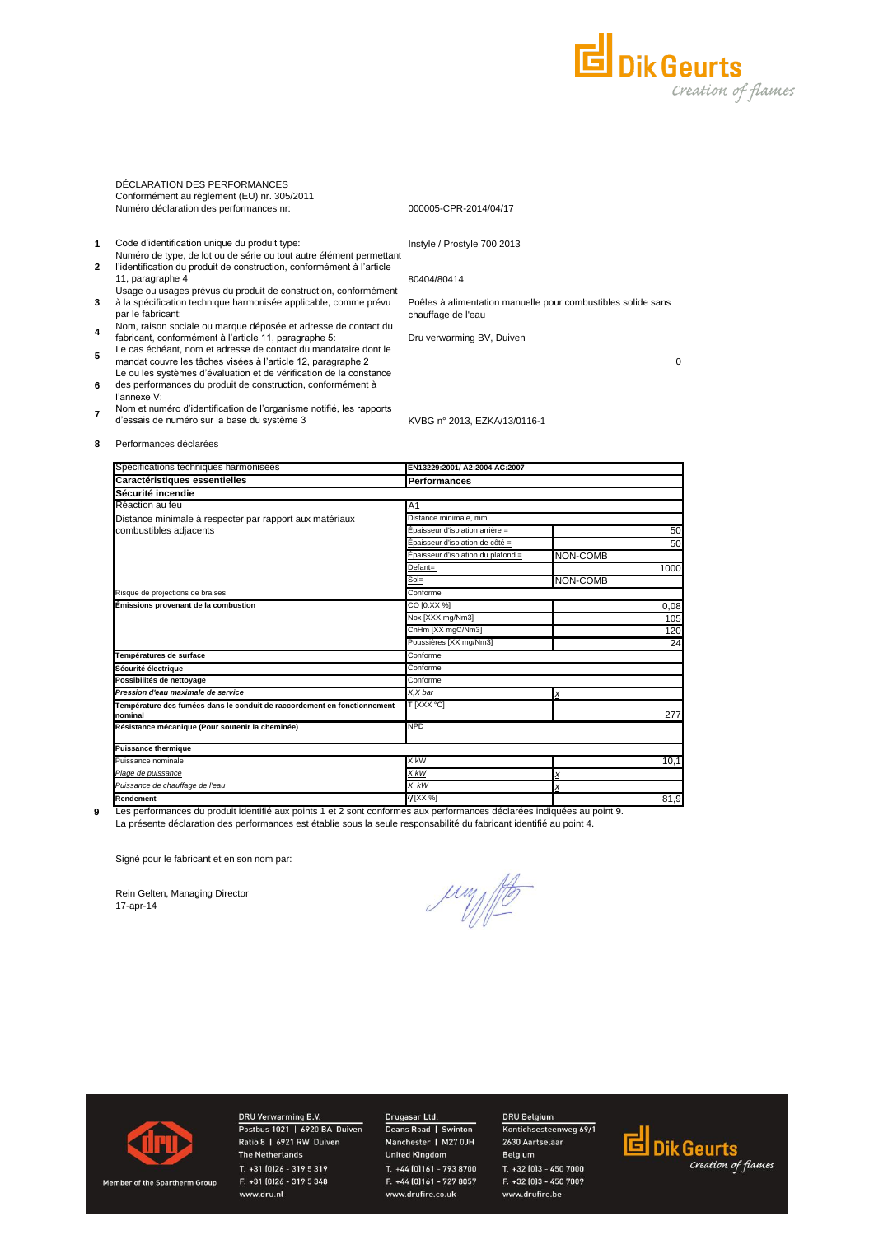

DÉCLARATION DES PERFORMANCES Conformément au règlement (EU) nr. 305/2011 Numéro déclaration des performances nr:

#### 000005-CPR-2014/04/17

- **1** Code d'identification unique du produit type:
- **2** Numéro de type, de lot ou de série ou tout autre élément permettant l'identification du produit de construction, conformément à l'article 11, paragraphe 4
- **3** Usage ou usages prévus du produit de construction, conformément à la spécification technique harmonisée applicable, comme prévu par le fabricant:
- **4** Nom, raison sociale ou marque déposée et adresse de contact du fabricant, conformément à l'article 11, paragraphe 5:
- **5** Le cas échéant, nom et adresse de contact du mandataire dont le
- mandat couvre les tâches visées à l'article 12, paragraphe 2 **6** Le ou les systèmes d'évaluation et de vérification de la constance des performances du produit de construction, conformément à
- l'annexe V: Nom et numéro d'identification de l'organisme notifié, les rapports
- **7** d'essais de numéro sur la base du système 3

Instyle / Prostyle 700 2013

80404/80414

Poêles à alimentation manuelle pour combustibles solide sans chauffage de l'eau

Dru verwarming BV, Duiven

KVBG n° 2013, EZKA/13/0116-1

0

**8** Performances déclarées

| Spécifications techniques harmonisées                                               | EN13229.2001/ A2:2004 AC:2007      |          |
|-------------------------------------------------------------------------------------|------------------------------------|----------|
| Caractéristiques essentielles                                                       | <b>Performances</b>                |          |
| Sécurité incendie                                                                   |                                    |          |
| Réaction au feu                                                                     | A <sub>1</sub>                     |          |
| Distance minimale à respecter par rapport aux matériaux                             | Distance minimale, mm              |          |
| combustibles adjacents                                                              | Épaisseur d'isolation arrière =    | 50       |
|                                                                                     | Épaisseur d'isolation de côté =    | 50       |
|                                                                                     | Epaisseur d'isolation du plafond = | NON-COMB |
|                                                                                     | Defant=                            | 1000     |
|                                                                                     | $Sol =$                            | NON-COMB |
| Risque de projections de braises                                                    | Conforme                           |          |
| Émissions provenant de la combustion                                                | CO [0.XX %]                        | 0,08     |
|                                                                                     | Nox [XXX mg/Nm3]                   | 105      |
|                                                                                     | CnHm [XX mgC/Nm3]                  | 120      |
|                                                                                     | Poussières [XX mg/Nm3]             | 24       |
| Températures de surface                                                             | Conforme                           |          |
| Sécurité électrique                                                                 | Conforme                           |          |
| Possibilités de nettoyage                                                           | Conforme                           |          |
| Pression d'eau maximale de service                                                  | X,X bar                            | X        |
| Température des fumées dans le conduit de raccordement en fonctionnement<br>nominal | T [XXX °C]                         | 277      |
| Résistance mécanique (Pour soutenir la cheminée)                                    | <b>NPD</b>                         |          |
| <b>Puissance thermique</b>                                                          |                                    |          |
| Puissance nominale                                                                  | X kW                               | 10,1     |
| Plage de puissance                                                                  | X kW                               | x        |
| Puissance de chauffage de l'eau                                                     | X kW                               | X        |
| Rendement                                                                           | 77 [XX %]                          | 81,9     |

Les performances du produit identifié aux points 1 et 2 sont conformes aux performances déclarées indiquées au point 9.

La présente déclaration des performances est établie sous la seule responsabilité du fabricant identifié au point 4.

Signé pour le fabricant et en son nom par:

Rein Gelten, Managing Director 17-apr-14

**9**

Jun 10



Member of the Spartherm Group

DRU Verwarming B.V. Postbus 1021 | 6920 BA Duiven Ratio 8 | 6921 RW Duiven **The Netherlands** T. +31 (0)26 - 319 5 319 F. +31 (0)26 - 319 5 348 www.dru.nl

# Drugasar Ltd.

Deans Road | Swinton Manchester | M27 0JH **United Kingdom** T. +44 (0)161 - 793 8700 F. +44 (0)161 - 727 8057 www.drufire.co.uk

#### DRU Belgium Kontichsesteenweg 69/1

2630 Aartselaar Belgium T. +32 (0)3 - 450 7000 F. +32 (0)3 - 450 7009 www.drufire.be

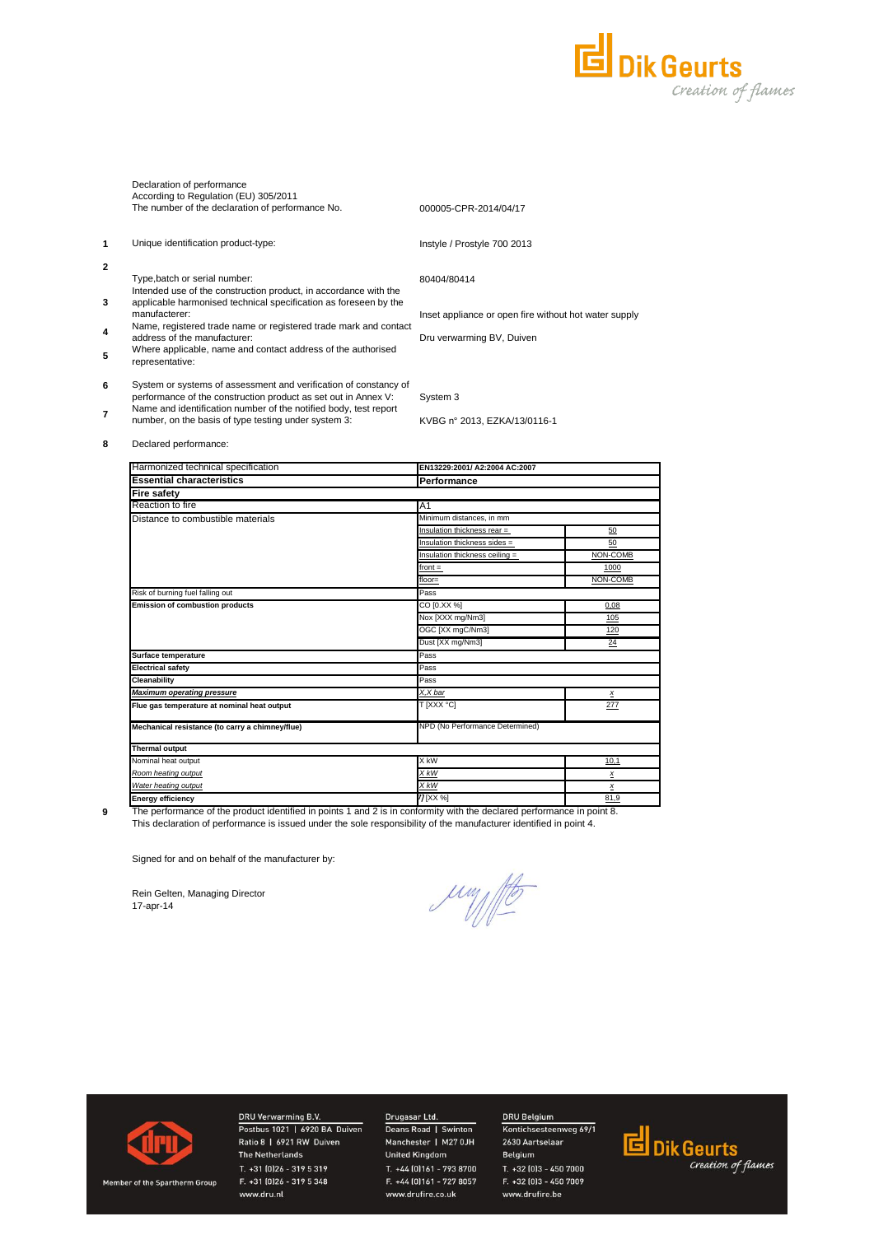

|   | Declaration of performance<br>According to Regulation (EU) 305/2011<br>The number of the declaration of performance No.                               | 000005-CPR-2014/04/17                                 |
|---|-------------------------------------------------------------------------------------------------------------------------------------------------------|-------------------------------------------------------|
| 1 | Unique identification product-type:                                                                                                                   | Instyle / Prostyle 700 2013                           |
| 2 |                                                                                                                                                       |                                                       |
|   | Type, batch or serial number:<br>Intended use of the construction product, in accordance with the                                                     | 80404/80414                                           |
| 3 | applicable harmonised technical specification as foreseen by the<br>manufacterer:<br>Name, registered trade name or registered trade mark and contact | Inset appliance or open fire without hot water supply |
| 4 | address of the manufacturer:                                                                                                                          | Dru verwarming BV, Duiven                             |
| 5 | Where applicable, name and contact address of the authorised<br>representative:                                                                       |                                                       |
| 6 | System or systems of assessment and verification of constancy of<br>performance of the construction product as set out in Annex V:                    | System 3                                              |
|   | Name and identification number of the notified body, test report                                                                                      |                                                       |
|   | number, on the basis of type testing under system 3:                                                                                                  | KVBG n° 2013, EZKA/13/0116-1                          |
|   |                                                                                                                                                       |                                                       |

**8** Declared performance:

**2**

**3**

**4**

**5**

**7**

| Harmonized technical specification              | EN13229:2001/ A2:2004 AC:2007   |                 |  |  |
|-------------------------------------------------|---------------------------------|-----------------|--|--|
| <b>Essential characteristics</b>                | Performance                     |                 |  |  |
| <b>Fire safety</b>                              |                                 |                 |  |  |
| Reaction to fire                                | A1                              |                 |  |  |
| Distance to combustible materials               | Minimum distances, in mm        |                 |  |  |
|                                                 | Insulation thickness rear =     | 50              |  |  |
|                                                 | Insulation thickness sides =    | 50              |  |  |
|                                                 | Insulation thickness ceiling =  | NON-COMB        |  |  |
|                                                 | $front =$                       | 1000            |  |  |
|                                                 | floor=                          | NON-COMB        |  |  |
| Risk of burning fuel falling out                | Pass                            |                 |  |  |
| <b>Emission of combustion products</b>          | CO [0.XX %]                     | 0,08            |  |  |
|                                                 | Nox [XXX mg/Nm3]                | 105             |  |  |
|                                                 | OGC [XX mgC/Nm3]                | 120             |  |  |
|                                                 | Dust [XX mg/Nm3]                | 24              |  |  |
| Surface temperature                             | Pass                            |                 |  |  |
| <b>Electrical safety</b>                        | Pass                            |                 |  |  |
| <b>Cleanability</b>                             | Pass                            |                 |  |  |
| <b>Maximum operating pressure</b>               | X,X bar                         | $\underline{x}$ |  |  |
| Flue gas temperature at nominal heat output     | T [XXX °C]                      | 277             |  |  |
| Mechanical resistance (to carry a chimney/flue) | NPD (No Performance Determined) |                 |  |  |
| <b>Thermal output</b>                           |                                 |                 |  |  |
| Nominal heat output                             | X kW                            | 10,1            |  |  |
| Room heating output                             | X kW                            | x               |  |  |
| Water heating output                            | X kW                            | $\pmb{\times}$  |  |  |
| <b>Energy efficiency</b>                        | 77 [XX %]                       | 81.9            |  |  |

**9**

This declaration of performance is issued under the sole responsibility of the manufacturer identified in point 4. The performance of the product identified in points 1 and 2 is in conformity with the declared performance in point 8.

Signed for and on behalf of the manufacturer by:

Rein Gelten, Managing Director 17-apr-14

Jun fte



DRU Verwarming B.V.<br>Postbus 1021 | 6920 BA Duiven Ratio 8 | 6921 RW Duiven The Netherlands T. +31 (0)26 - 319 5 319 F. +31 (0)26 - 319 5 348 www.dru.nl

# DRU Belgium

Drugasar Ltd.<br>Deans Road | Swinton<br>Manchester | M27 0JH **United Kingdom** T. +44 (0)161 - 793 8700 F. +44 (0)161 - 727 8057 www.drufire.co.uk

### Kontichsesteenweg 69/1 2630 Aartselaar Belgium T. +32 (0)3 - 450 7000 F. +32 (0)3 - 450 7009 www.drufire.be